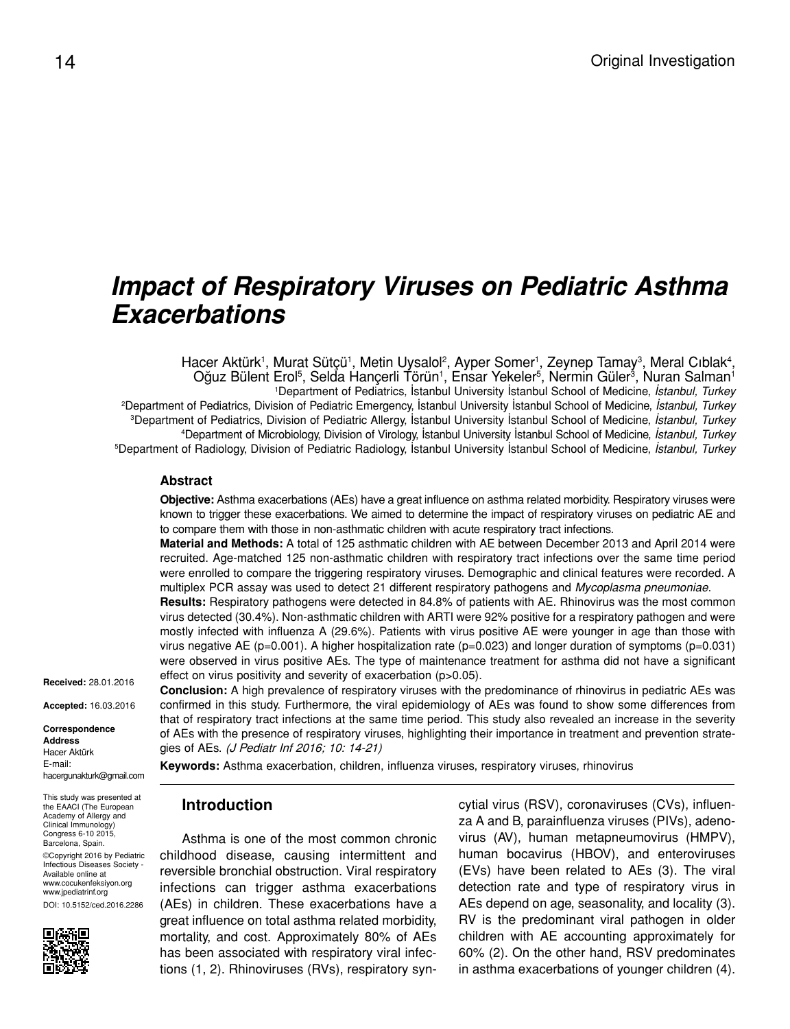# *Impact of Respiratory Viruses on Pediatric Asthma Exacerbations*

Hacer Aktürk<sup>1</sup>, Murat Sütçü<sup>1</sup>, Metin Uysalol<sup>2</sup>, Ayper Somer<sup>1</sup>, Zeynep Tamay<sup>3</sup>, Meral Cıblak<sup>4</sup>, Oğuz Bülent Erol<sup>5</sup>, Selda Hançerli Törün<sup>1</sup>, Ensar Yekeler<sup>5</sup>, Nermin Güler<sup>3</sup>, Nuran Salman<sup>1</sup> Department of Pediatrics, İstanbul University İstanbul School of Medicine, *İstanbul, Turkey* Department of Pediatrics, Division of Pediatric Emergency, İstanbul University İstanbul School of Medicine, *İstanbul, Turkey* Department of Pediatrics, Division of Pediatric Allergy, İstanbul University İstanbul School of Medicine, *İstanbul, Turkey* Department of Microbiology, Division of Virology, İstanbul University İstanbul School of Medicine, *İstanbul, Turkey* Department of Radiology, Division of Pediatric Radiology, İstanbul University İstanbul School of Medicine, *İstanbul, Turkey*

### **Abstract**

**Objective:** Asthma exacerbations (AEs) have a great influence on asthma related morbidity. Respiratory viruses were known to trigger these exacerbations. We aimed to determine the impact of respiratory viruses on pediatric AE and to compare them with those in non-asthmatic children with acute respiratory tract infections.

**Material and Methods:** A total of 125 asthmatic children with AE between December 2013 and April 2014 were recruited. Age-matched 125 non-asthmatic children with respiratory tract infections over the same time period were enrolled to compare the triggering respiratory viruses. Demographic and clinical features were recorded. A multiplex PCR assay was used to detect 21 different respiratory pathogens and *Mycoplasma pneumoniae*.

**Results:** Respiratory pathogens were detected in 84.8% of patients with AE. Rhinovirus was the most common virus detected (30.4%). Non-asthmatic children with ARTI were 92% positive for a respiratory pathogen and were mostly infected with influenza A (29.6%). Patients with virus positive AE were younger in age than those with virus negative AE ( $p=0.001$ ). A higher hospitalization rate ( $p=0.023$ ) and longer duration of symptoms ( $p=0.031$ ) were observed in virus positive AEs. The type of maintenance treatment for asthma did not have a significant effect on virus positivity and severity of exacerbation (p>0.05).

**Conclusion:** A high prevalence of respiratory viruses with the predominance of rhinovirus in pediatric AEs was confirmed in this study. Furthermore, the viral epidemiology of AEs was found to show some differences from that of respiratory tract infections at the same time period. This study also revealed an increase in the severity of AEs with the presence of respiratory viruses, highlighting their importance in treatment and prevention strategies of AEs. (J Pediatr Inf 2016; 10: 14-21)

**Keywords:** Asthma exacerbation, children, influenza viruses, respiratory viruses, rhinovirus

## **Introduction**

Asthma is one of the most common chronic childhood disease, causing intermittent and reversible bronchial obstruction. Viral respiratory infections can trigger asthma exacerbations (AEs) in children. These exacerbations have a great influence on total asthma related morbidity, mortality, and cost. Approximately 80% of AEs has been associated with respiratory viral infections (1, 2). Rhinoviruses (RVs), respiratory syncytial virus (RSV), coronaviruses (CVs), influenza A and B, parainfluenza viruses (PIVs), adenovirus (AV), human metapneumovirus (HMPV), human bocavirus (HBOV), and enteroviruses (EVs) have been related to AEs (3). The viral detection rate and type of respiratory virus in AEs depend on age, seasonality, and locality (3). RV is the predominant viral pathogen in older children with AE accounting approximately for 60% (2). On the other hand, RSV predominates in asthma exacerbations of younger children (4).

**Received:** 28.01.2016

**Accepted:** 16.03.2016

**Correspondence Address** Hacer Aktürk E-mail: hacergunakturk@gmail.com

This study was presented at the EAACI (The European Academy of Allergy and<br>Clinical Immunology) Clinical Immunology) Congress 6-10 2015, Barcelona, Spain. ©Copyright 2016 by Pediatric Infectious Diseases Society - Available online at www.cocukenfeksiyon.org www.jpediatrinf.org DOI: 10.5152/ced.2016.2286

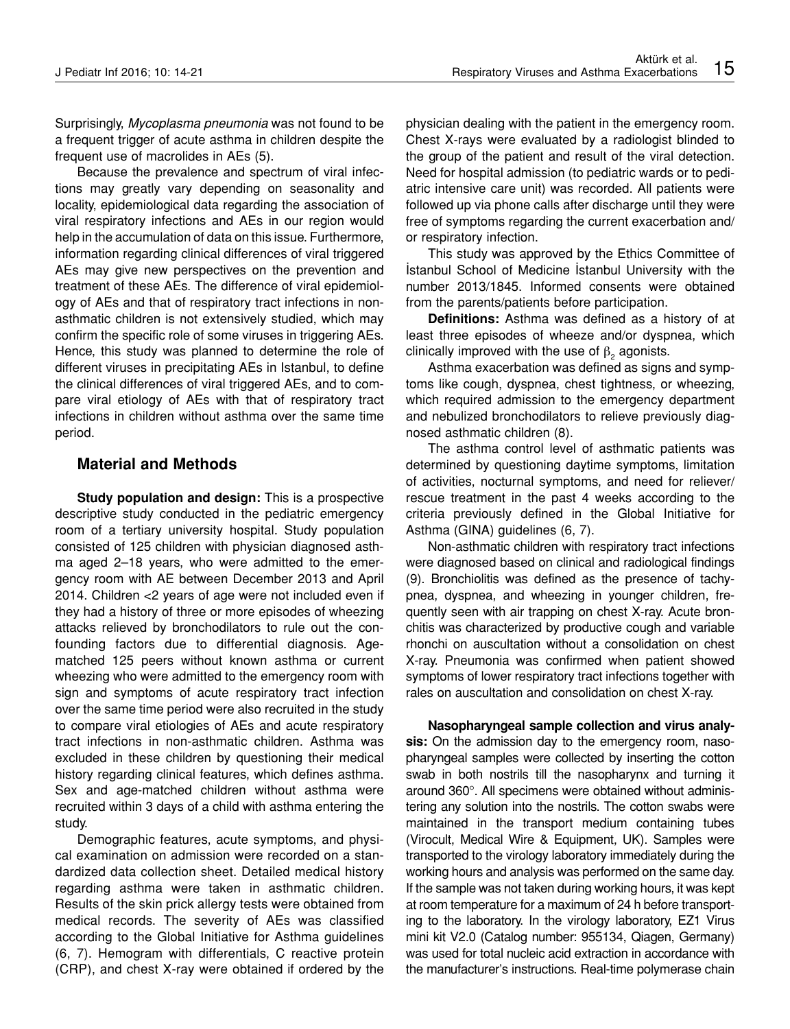Surprisingly, *Mycoplasma pneumonia* was not found to be a frequent trigger of acute asthma in children despite the frequent use of macrolides in AEs (5).

Because the prevalence and spectrum of viral infections may greatly vary depending on seasonality and locality, epidemiological data regarding the association of viral respiratory infections and AEs in our region would help in the accumulation of data on this issue. Furthermore, information regarding clinical differences of viral triggered AEs may give new perspectives on the prevention and treatment of these AEs. The difference of viral epidemiology of AEs and that of respiratory tract infections in nonasthmatic children is not extensively studied, which may confirm the specific role of some viruses in triggering AEs. Hence, this study was planned to determine the role of different viruses in precipitating AEs in Istanbul, to define the clinical differences of viral triggered AEs, and to compare viral etiology of AEs with that of respiratory tract infections in children without asthma over the same time period.

# **Material and Methods**

**Study population and design:** This is a prospective descriptive study conducted in the pediatric emergency room of a tertiary university hospital. Study population consisted of 125 children with physician diagnosed asthma aged 2–18 years, who were admitted to the emergency room with AE between December 2013 and April 2014. Children <2 years of age were not included even if they had a history of three or more episodes of wheezing attacks relieved by bronchodilators to rule out the confounding factors due to differential diagnosis. Agematched 125 peers without known asthma or current wheezing who were admitted to the emergency room with sign and symptoms of acute respiratory tract infection over the same time period were also recruited in the study to compare viral etiologies of AEs and acute respiratory tract infections in non-asthmatic children. Asthma was excluded in these children by questioning their medical history regarding clinical features, which defines asthma. Sex and age-matched children without asthma were recruited within 3 days of a child with asthma entering the study.

Demographic features, acute symptoms, and physical examination on admission were recorded on a standardized data collection sheet. Detailed medical history regarding asthma were taken in asthmatic children. Results of the skin prick allergy tests were obtained from medical records. The severity of AEs was classified according to the Global Initiative for Asthma guidelines (6, 7). Hemogram with differentials, C reactive protein (CRP), and chest X-ray were obtained if ordered by the

physician dealing with the patient in the emergency room. Chest X-rays were evaluated by a radiologist blinded to the group of the patient and result of the viral detection. Need for hospital admission (to pediatric wards or to pediatric intensive care unit) was recorded. All patients were followed up via phone calls after discharge until they were free of symptoms regarding the current exacerbation and/ or respiratory infection.

This study was approved by the Ethics Committee of İstanbul School of Medicine İstanbul University with the number 2013/1845. Informed consents were obtained from the parents/patients before participation.

**Definitions:** Asthma was defined as a history of at least three episodes of wheeze and/or dyspnea, which clinically improved with the use of  $\beta_2$  agonists.

Asthma exacerbation was defined as signs and symptoms like cough, dyspnea, chest tightness, or wheezing, which required admission to the emergency department and nebulized bronchodilators to relieve previously diagnosed asthmatic children (8).

The asthma control level of asthmatic patients was determined by questioning daytime symptoms, limitation of activities, nocturnal symptoms, and need for reliever/ rescue treatment in the past 4 weeks according to the criteria previously defined in the Global Initiative for Asthma (GINA) guidelines (6, 7).

Non-asthmatic children with respiratory tract infections were diagnosed based on clinical and radiological findings (9). Bronchiolitis was defined as the presence of tachypnea, dyspnea, and wheezing in younger children, frequently seen with air trapping on chest X-ray. Acute bronchitis was characterized by productive cough and variable rhonchi on auscultation without a consolidation on chest X-ray. Pneumonia was confirmed when patient showed symptoms of lower respiratory tract infections together with rales on auscultation and consolidation on chest X-ray.

**Nasopharyngeal sample collection and virus analysis:** On the admission day to the emergency room, nasopharyngeal samples were collected by inserting the cotton swab in both nostrils till the nasopharynx and turning it around 360°. All specimens were obtained without administering any solution into the nostrils. The cotton swabs were maintained in the transport medium containing tubes (Virocult, Medical Wire & Equipment, UK). Samples were transported to the virology laboratory immediately during the working hours and analysis was performed on the same day. If the sample was not taken during working hours, it was kept at room temperature for a maximum of 24 h before transporting to the laboratory. In the virology laboratory, EZ1 Virus mini kit V2.0 (Catalog number: 955134, Qiagen, Germany) was used for total nucleic acid extraction in accordance with the manufacturer's instructions. Real-time polymerase chain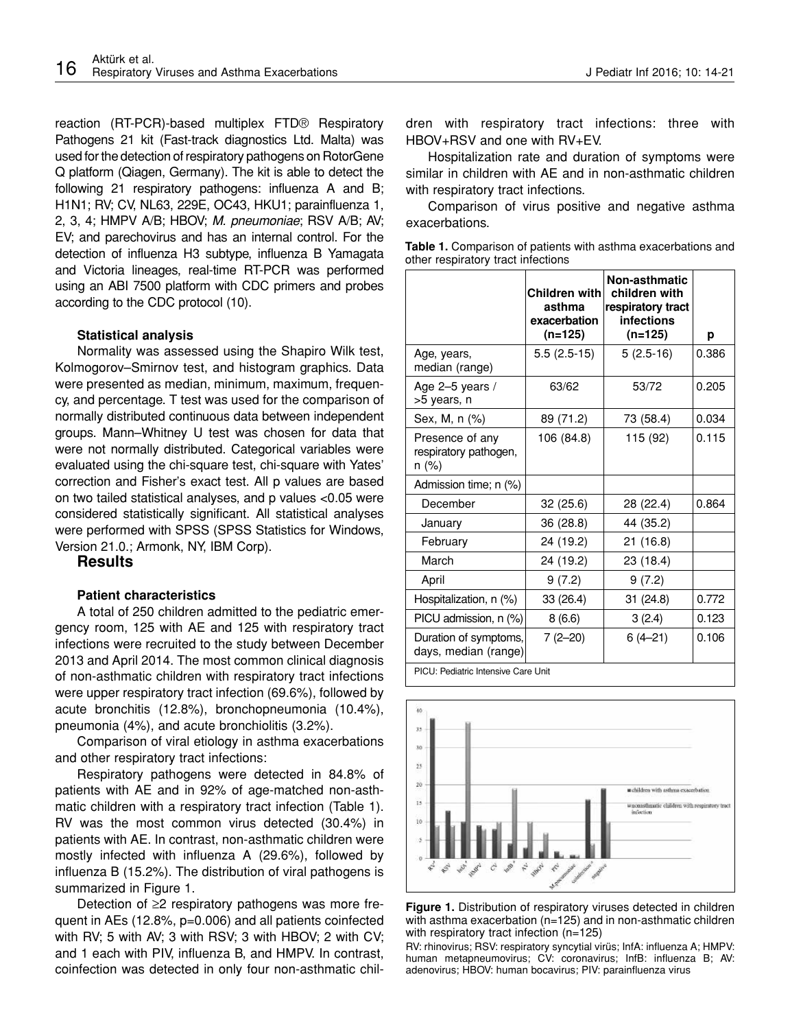reaction (RT-PCR)-based multiplex FTD® Respiratory Pathogens 21 kit (Fast-track diagnostics Ltd. Malta) was used for the detection of respiratory pathogens on RotorGene Q platform (Qiagen, Germany). The kit is able to detect the following 21 respiratory pathogens[: influenza A and B;](http://www.fast-trackdiagnostics.com/products/5/ftd_respiratory_pathogens_21/) [H1N1; RV; CV, NL63, 229E, OC43, HKU1; parainfluenza 1,](http://www.fast-trackdiagnostics.com/products/5/ftd_respiratory_pathogens_21/) [2, 3, 4; HMPV A/B; HBOV;](http://www.fast-trackdiagnostics.com/products/5/ftd_respiratory_pathogens_21/) *M. pneumoniae*; RSV A/B; AV; [EV; and parechovirus and has an internal control.](http://www.fast-trackdiagnostics.com/products/5/ftd_respiratory_pathogens_21/) For the detection of influenza H3 subtype, influenza B Yamagata and Victoria lineages, real-time RT-PCR was performed using an ABI 7500 platform with CDC primers and probes according to the CDC protocol (10).

#### **Statistical analysis**

Normality was assessed using the Shapiro Wilk test, Kolmogorov–Smirnov test, and histogram graphics. Data were presented as median, minimum, maximum, frequency, and percentage. T test was used for the comparison of normally distributed continuous data between independent groups. Mann–Whitney U test was chosen for data that were not normally distributed. Categorical variables were evaluated using the chi-square test, chi-square with Yates' correction and Fisher's exact test. All p values are based on two tailed statistical analyses, and p values <0.05 were considered statistically significant. All statistical analyses were performed with SPSS (SPSS Statistics for Windows, Version 21.0.; Armonk, NY, IBM Corp).

#### **Results**

#### **Patient characteristics**

A total of 250 children admitted to the pediatric emergency room, 125 with AE and 125 with respiratory tract infections were recruited to the study between December 2013 and April 2014. The most common clinical diagnosis of non-asthmatic children with respiratory tract infections were upper respiratory tract infection (69.6%), followed by acute bronchitis (12.8%), bronchopneumonia (10.4%), pneumonia (4%), and acute bronchiolitis (3.2%).

Comparison of viral etiology in asthma exacerbations and other respiratory tract infections:

Respiratory pathogens were detected in 84.8% of patients with AE and in 92% of age-matched non-asthmatic children with a respiratory tract infection (Table 1). RV was the most common virus detected (30.4%) in patients with AE. In contrast, non-asthmatic children were mostly infected with influenza A (29.6%), followed by influenza B (15.2%). The distribution of viral pathogens is summarized in Figure 1.

Detection of ≥2 respiratory pathogens was more frequent in AEs (12.8%, p=0.006) and all patients coinfected with RV; 5 with AV; 3 with RSV; 3 with HBOV; 2 with CV; and 1 each with PIV, influenza B, and HMPV. In contrast, coinfection was detected in only four non-asthmatic children with respiratory tract infections: three with HBOV+RSV and one with RV+EV.

Hospitalization rate and duration of symptoms were similar in children with AE and in non-asthmatic children with respiratory tract infections.

Comparison of virus positive and negative asthma exacerbations.

| Table 1. Comparison of patients with asthma exacerbations and |
|---------------------------------------------------------------|
| other respiratory tract infections                            |

|                                                   | Children with<br>asthma<br>exacerbation<br>(n=125) | Non-asthmatic<br>children with<br>respiratory tract<br>infections<br>(n=125) | р     |  |  |
|---------------------------------------------------|----------------------------------------------------|------------------------------------------------------------------------------|-------|--|--|
| Age, years,<br>median (range)                     | $5.5(2.5-15)$                                      | $5(2.5-16)$                                                                  | 0.386 |  |  |
| Age 2-5 years /<br>>5 years, n                    | 63/62                                              | 53/72                                                                        | 0.205 |  |  |
| Sex, M, n (%)                                     | 89 (71.2)                                          | 73 (58.4)                                                                    | 0.034 |  |  |
| Presence of any<br>respiratory pathogen,<br>n (%) | 106 (84.8)                                         | 115 (92)                                                                     | 0.115 |  |  |
| Admission time; n (%)                             |                                                    |                                                                              |       |  |  |
| December                                          | 32 (25.6)                                          | 28 (22.4)                                                                    | 0.864 |  |  |
| January                                           | 36 (28.8)                                          | 44 (35.2)                                                                    |       |  |  |
| February                                          | 24 (19.2)                                          | 21 (16.8)                                                                    |       |  |  |
| March                                             | 24 (19.2)                                          | 23 (18.4)                                                                    |       |  |  |
| April                                             | 9(7.2)                                             | 9(7.2)                                                                       |       |  |  |
| Hospitalization, n (%)                            | 33 (26.4)                                          | 31 (24.8)                                                                    | 0.772 |  |  |
| PICU admission, n (%)                             | 8(6.6)                                             | 3(2.4)                                                                       | 0.123 |  |  |
| Duration of symptoms,<br>days, median (range)     | $7(2 - 20)$                                        | $6(4 - 21)$                                                                  | 0.106 |  |  |
|                                                   | PICLI: Podiatric Intoneivo Caro LInit              |                                                                              |       |  |  |

PICU: Pediatric Intensive Care Unit



**Figure 1.** Distribution of respiratory viruses detected in children with asthma exacerbation (n=125) and in non-asthmatic children with respiratory tract infection (n=125)

RV: rhinovirus; RSV: respiratory syncytial virüs; InfA: influenza A; HMPV: human metapneumovirus; CV: coronavirus; InfB: influenza B; AV: adenovirus; HBOV: human bocavirus; PIV: parainfluenza virus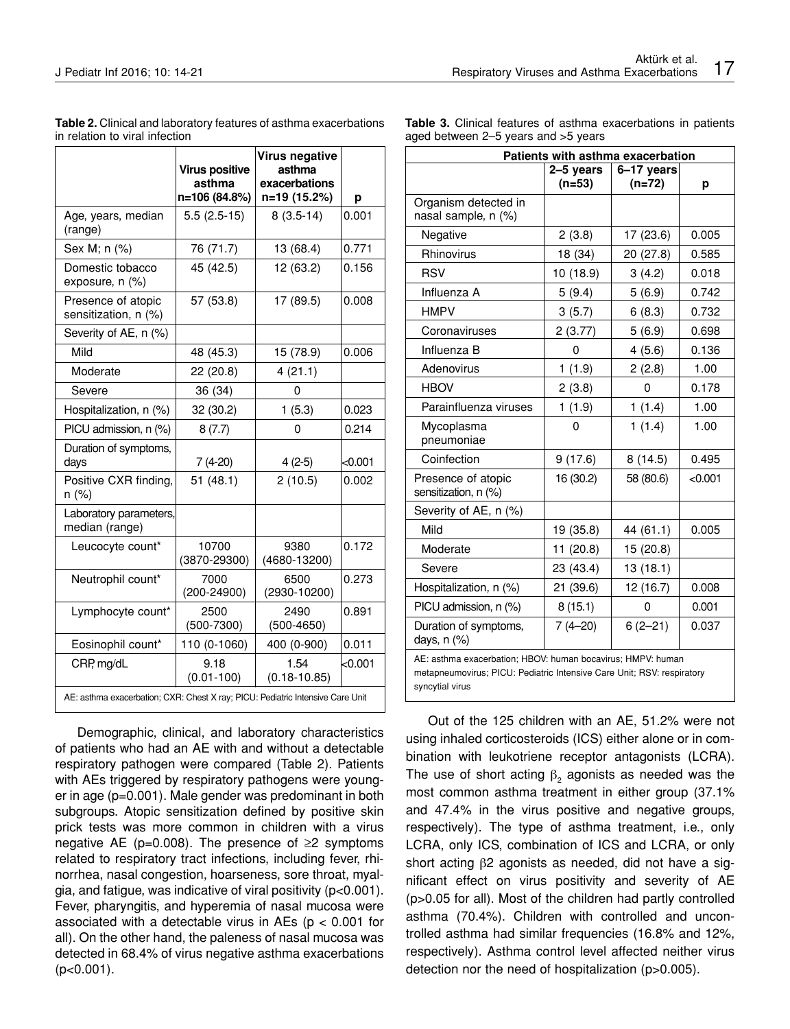|                                                                                | <b>Virus positive</b><br>asthma<br>n=106 (84.8%) | Virus negative<br>asthma<br>exacerbations<br>n=19 (15.2%) | р       |  |  |
|--------------------------------------------------------------------------------|--------------------------------------------------|-----------------------------------------------------------|---------|--|--|
| Age, years, median<br>(range)                                                  | $5.5(2.5-15)$                                    | $8(3.5-14)$                                               | 0.001   |  |  |
| Sex M; n (%)                                                                   | 76 (71.7)                                        | 13 (68.4)                                                 | 0.771   |  |  |
| Domestic tobacco<br>exposure, n (%)                                            | 45 (42.5)                                        | 12 (63.2)                                                 | 0.156   |  |  |
| Presence of atopic<br>sensitization, n (%)                                     | 57 (53.8)                                        | 17 (89.5)                                                 | 0.008   |  |  |
| Severity of AE, n (%)                                                          |                                                  |                                                           |         |  |  |
| Mild                                                                           | 48 (45.3)                                        | 15 (78.9)                                                 | 0.006   |  |  |
| Moderate                                                                       | 22 (20.8)                                        | 4(21.1)                                                   |         |  |  |
| Severe                                                                         | 36 (34)                                          | 0                                                         |         |  |  |
| Hospitalization, n (%)                                                         | 32 (30.2)                                        | 1(5.3)                                                    | 0.023   |  |  |
| PICU admission, n (%)                                                          | 8(7.7)                                           | 0                                                         | 0.214   |  |  |
| Duration of symptoms,<br>days                                                  | $7(4-20)$                                        | $4(2-5)$                                                  | <0.001  |  |  |
| Positive CXR finding,<br>n (%)                                                 | 51(48.1)                                         | 2(10.5)                                                   | 0.002   |  |  |
| Laboratory parameters,<br>median (range)                                       |                                                  |                                                           |         |  |  |
| Leucocyte count*                                                               | 10700<br>$(3870 - 29300)$                        | 9380<br>$(4680 - 13200)$                                  | 0.172   |  |  |
| Neutrophil count*                                                              | 7000<br>$(200 - 24900)$                          | 6500<br>(2930-10200)                                      | 0.273   |  |  |
| Lymphocyte count*                                                              | 2500<br>$(500 - 7300)$                           | 2490<br>$(500 - 4650)$                                    | 0.891   |  |  |
| Eosinophil count*                                                              | 110 (0-1060)                                     | 400 (0-900)                                               | 0.011   |  |  |
| CRP, mg/dL                                                                     | 9.18<br>$(0.01 - 100)$                           | 1.54<br>$(0.18 - 10.85)$                                  | < 0.001 |  |  |
| AE: asthma exacerbation; CXR: Chest X ray; PICU: Pediatric Intensive Care Unit |                                                  |                                                           |         |  |  |

**Table 2.** Clinical and laboratory features of asthma exacerbations in relation to viral infection

**Table 3.** Clinical features of asthma exacerbations in patients aged between 2–5 years and >5 years

| Patients with asthma exacerbation                                                                                                                        |             |             |         |  |  |
|----------------------------------------------------------------------------------------------------------------------------------------------------------|-------------|-------------|---------|--|--|
|                                                                                                                                                          | 2-5 years   | 6-17 years  |         |  |  |
|                                                                                                                                                          | $(n=53)$    | $(n=72)$    | р       |  |  |
| Organism detected in<br>nasal sample, n (%)                                                                                                              |             |             |         |  |  |
| Negative                                                                                                                                                 | 2(3.8)      | 17 (23.6)   | 0.005   |  |  |
| Rhinovirus                                                                                                                                               | 18 (34)     | 20 (27.8)   | 0.585   |  |  |
| <b>RSV</b>                                                                                                                                               | 10 (18.9)   | 3(4.2)      | 0.018   |  |  |
| Influenza A                                                                                                                                              | 5(9.4)      | 5(6.9)      | 0.742   |  |  |
| <b>HMPV</b>                                                                                                                                              | 3(5.7)      | 6(8.3)      | 0.732   |  |  |
| Coronaviruses                                                                                                                                            | 2(3.77)     | 5(6.9)      | 0.698   |  |  |
| Influenza B                                                                                                                                              | 0           | 4(5.6)      | 0.136   |  |  |
| Adenovirus                                                                                                                                               | 1(1.9)      | 2(2.8)      | 1.00    |  |  |
| <b>HBOV</b>                                                                                                                                              | 2(3.8)      | 0           | 0.178   |  |  |
| Parainfluenza viruses                                                                                                                                    | 1(1.9)      | 1(1.4)      | 1.00    |  |  |
| Mycoplasma<br>pneumoniae                                                                                                                                 | 0           | 1(1.4)      | 1.00    |  |  |
| Coinfection                                                                                                                                              | 9(17.6)     | 8(14.5)     | 0.495   |  |  |
| Presence of atopic<br>sensitization, n (%)                                                                                                               | 16 (30.2)   | 58 (80.6)   | < 0.001 |  |  |
| Severity of AE, n (%)                                                                                                                                    |             |             |         |  |  |
| Mild                                                                                                                                                     | 19 (35.8)   | 44 (61.1)   | 0.005   |  |  |
| Moderate                                                                                                                                                 | 11 (20.8)   | 15 (20.8)   |         |  |  |
| Severe                                                                                                                                                   | 23 (43.4)   | 13(18.1)    |         |  |  |
| Hospitalization, n (%)                                                                                                                                   | 21 (39.6)   | 12 (16.7)   | 0.008   |  |  |
| PICU admission, n (%)                                                                                                                                    | 8(15.1)     | 0           | 0.001   |  |  |
| Duration of symptoms,<br>days, n (%)                                                                                                                     | $7(4 - 20)$ | $6(2 - 21)$ | 0.037   |  |  |
| AE: asthma exacerbation; HBOV: human bocavirus; HMPV: human<br>metapneumovirus; PICU: Pediatric Intensive Care Unit; RSV: respiratory<br>syncytial virus |             |             |         |  |  |

Demographic, clinical, and laboratory characteristics of patients who had an AE with and without a detectable respiratory pathogen were compared (Table 2). Patients with AEs triggered by respiratory pathogens were younger in age (p=0.001). Male gender was predominant in both subgroups. Atopic sensitization defined by positive skin prick tests was more common in children with a virus negative AE ( $p=0.008$ ). The presence of  $\geq 2$  symptoms related to respiratory tract infections, including fever, rhinorrhea, nasal congestion, hoarseness, sore throat, myalgia, and fatigue, was indicative of viral positivity (p<0.001). Fever, pharyngitis, and hyperemia of nasal mucosa were associated with a detectable virus in AEs ( $p < 0.001$  for all). On the other hand, the paleness of nasal mucosa was detected in 68.4% of virus negative asthma exacerbations (p<0.001).

Out of the 125 children with an AE, 51.2% were not using inhaled corticosteroids (ICS) either alone or in combination with leukotriene receptor antagonists (LCRA). The use of short acting  $\beta_2$  agonists as needed was the most common asthma treatment in either group (37.1% and 47.4% in the virus positive and negative groups, respectively). The type of asthma treatment, i.e., only LCRA, only ICS, combination of ICS and LCRA, or only short acting β2 agonists as needed, did not have a significant effect on virus positivity and severity of AE (p>0.05 for all). Most of the children had partly controlled asthma (70.4%). Children with controlled and uncontrolled asthma had similar frequencies (16.8% and 12%, respectively). Asthma control level affected neither virus detection nor the need of hospitalization (p>0.005).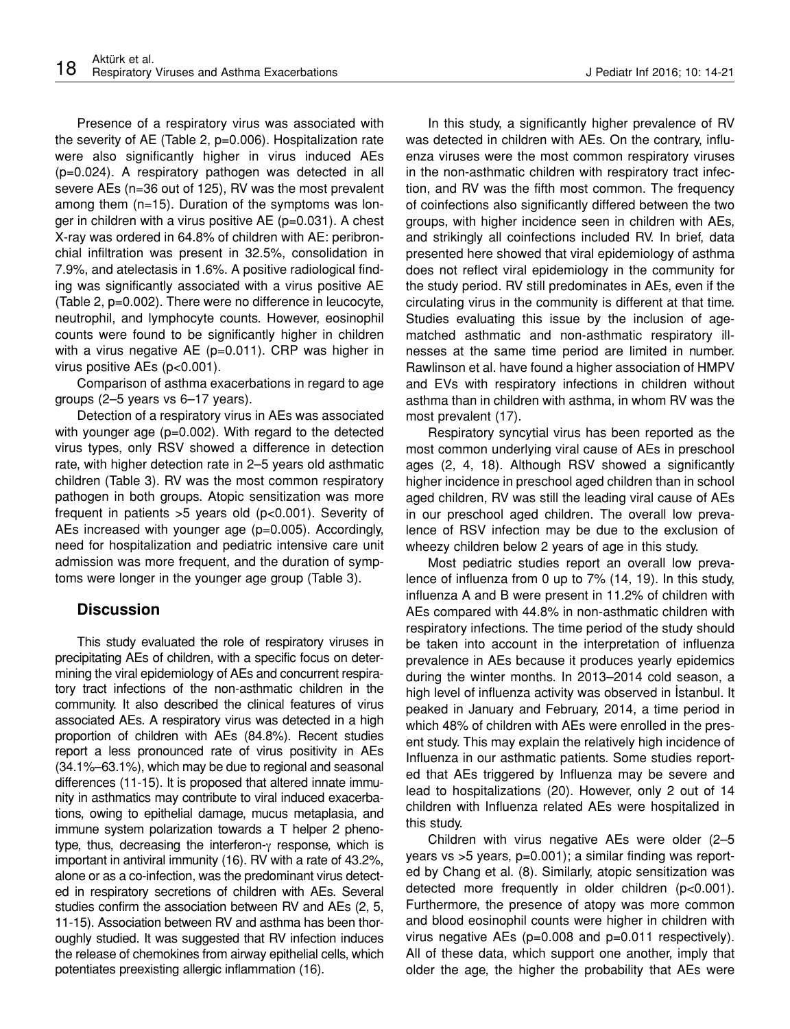Presence of a respiratory virus was associated with the severity of AE (Table 2, p=0.006). Hospitalization rate were also significantly higher in virus induced AEs (p=0.024). A respiratory pathogen was detected in all severe AEs (n=36 out of 125), RV was the most prevalent among them (n=15). Duration of the symptoms was longer in children with a virus positive AE (p=0.031). A chest X-ray was ordered in 64.8% of children with AE: peribronchial infiltration was present in 32.5%, consolidation in 7.9%, and atelectasis in 1.6%. A positive radiological finding was significantly associated with a virus positive AE (Table 2, p=0.002). There were no difference in leucocyte, neutrophil, and lymphocyte counts. However, eosinophil counts were found to be significantly higher in children with a virus negative AE (p=0.011). CRP was higher in virus positive AEs (p<0.001).

Comparison of asthma exacerbations in regard to age groups (2–5 years vs 6–17 years).

Detection of a respiratory virus in AEs was associated with younger age (p=0.002). With regard to the detected virus types, only RSV showed a difference in detection rate, with higher detection rate in 2–5 years old asthmatic children (Table 3). RV was the most common respiratory pathogen in both groups. Atopic sensitization was more frequent in patients  $>5$  years old ( $p<0.001$ ). Severity of AEs increased with younger age (p=0.005). Accordingly, need for hospitalization and pediatric intensive care unit admission was more frequent, and the duration of symptoms were longer in the younger age group (Table 3).

# **Discussion**

This study evaluated the role of respiratory viruses in precipitating AEs of children, with a specific focus on determining the viral epidemiology of AEs and concurrent respiratory tract infections of the non-asthmatic children in the community. It also described the clinical features of virus associated AEs. A respiratory virus was detected in a high proportion of children with AEs (84.8%). Recent studies report a less pronounced rate of virus positivity in AEs (34.1%–63.1%), which may be due to regional and seasonal differences (11-15). It is proposed that altered innate immunity in asthmatics may contribute to viral induced exacerbations, owing to epithelial damage, mucus metaplasia, and immune system polarization towards a T helper 2 phenotype, thus, decreasing the interferon-γ response, which is important in antiviral immunity (16). RV with a rate of 43.2%, alone or as a co-infection, was the predominant virus detected in respiratory secretions of children with AEs. Several studies confirm the association between RV and AEs (2, 5, 11-15). Association between RV and asthma has been thoroughly studied. It was suggested that RV infection induces the release of chemokines from airway epithelial cells, which potentiates preexisting allergic inflammation (16).

In this study, a significantly higher prevalence of RV was detected in children with AEs. On the contrary, influenza viruses were the most common respiratory viruses in the non-asthmatic children with respiratory tract infection, and RV was the fifth most common. The frequency of coinfections also significantly differed between the two groups, with higher incidence seen in children with AEs, and strikingly all coinfections included RV. In brief, data presented here showed that viral epidemiology of asthma does not reflect viral epidemiology in the community for the study period. RV still predominates in AEs, even if the circulating virus in the community is different at that time. Studies evaluating this issue by the inclusion of agematched asthmatic and non-asthmatic respiratory illnesses at the same time period are limited in number. Rawlinson et al. have found a higher association of HMPV and EVs with respiratory infections in children without asthma than in children with asthma, in whom RV was the most prevalent (17).

Respiratory syncytial virus has been reported as the most common underlying viral cause of AEs in preschool ages (2, 4, 18). Although RSV showed a significantly higher incidence in preschool aged children than in school aged children, RV was still the leading viral cause of AEs in our preschool aged children. The overall low prevalence of RSV infection may be due to the exclusion of wheezy children below 2 years of age in this study.

Most pediatric studies report an overall low prevalence of influenza from 0 up to 7% (14, 19). In this study, influenza A and B were present in 11.2% of children with AEs compared with 44.8% in non-asthmatic children with respiratory infections. The time period of the study should be taken into account in the interpretation of influenza prevalence in AEs because it produces yearly epidemics during the winter months. In 2013–2014 cold season, a high level of influenza activity was observed in İstanbul. It peaked in January and February, 2014, a time period in which 48% of children with AEs were enrolled in the present study. This may explain the relatively high incidence of Influenza in our asthmatic patients. Some studies reported that AEs triggered by Influenza may be severe and lead to hospitalizations (20). However, only 2 out of 14 children with Influenza related AEs were hospitalized in this study.

Children with virus negative AEs were older (2–5 years vs >5 years, p=0.001); a similar finding was reported by Chang et al. (8). Similarly, atopic sensitization was detected more frequently in older children (p<0.001). Furthermore, the presence of atopy was more common and blood eosinophil counts were higher in children with virus negative AEs (p=0.008 and p=0.011 respectively). All of these data, which support one another, imply that older the age, the higher the probability that AEs were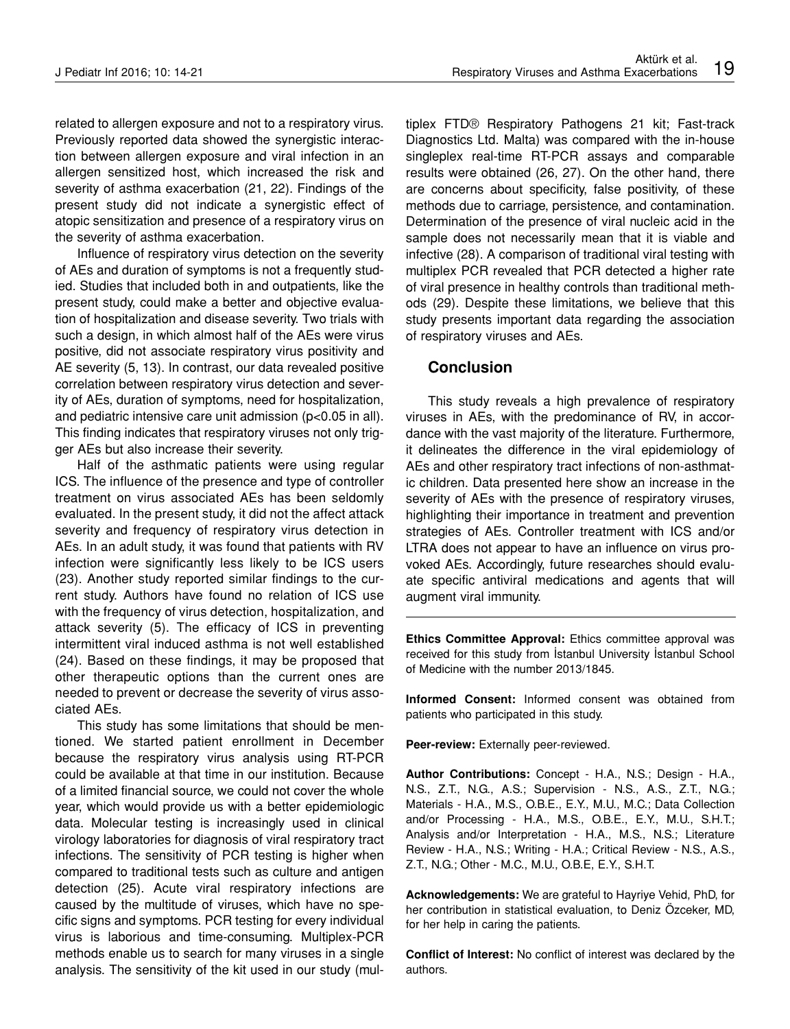related to allergen exposure and not to a respiratory virus. Previously reported data showed the synergistic interaction between allergen exposure and viral infection in an allergen sensitized host, which increased the risk and severity of asthma exacerbation (21, 22). Findings of the present study did not indicate a synergistic effect of atopic sensitization and presence of a respiratory virus on the severity of asthma exacerbation.

Influence of respiratory virus detection on the severity of AEs and duration of symptoms is not a frequently studied. Studies that included both in and outpatients, like the present study, could make a better and objective evaluation of hospitalization and disease severity. Two trials with such a design, in which almost half of the AEs were virus positive, did not associate respiratory virus positivity and AE severity (5, 13). In contrast, our data revealed positive correlation between respiratory virus detection and severity of AEs, duration of symptoms, need for hospitalization, and pediatric intensive care unit admission (p<0.05 in all). This finding indicates that respiratory viruses not only trigger AEs but also increase their severity.

Half of the asthmatic patients were using regular ICS. The influence of the presence and type of controller treatment on virus associated AEs has been seldomly evaluated. In the present study, it did not the affect attack severity and frequency of respiratory virus detection in AEs. In an adult study, it was found that patients with RV infection were significantly less likely to be ICS users (23). Another study reported similar findings to the current study. Authors have found no relation of ICS use with the frequency of virus detection, hospitalization, and attack severity (5). The efficacy of ICS in preventing intermittent viral induced asthma is not well established (24). Based on these findings, it may be proposed that other therapeutic options than the current ones are needed to prevent or decrease the severity of virus associated AEs.

This study has some limitations that should be mentioned. We started patient enrollment in December because the respiratory virus analysis using RT-PCR could be available at that time in our institution. Because of a limited financial source, we could not cover the whole year, which would provide us with a better epidemiologic data. Molecular testing is increasingly used in clinical virology laboratories for diagnosis of viral respiratory tract infections. The sensitivity of PCR testing is higher when compared to traditional tests such as culture and antigen detection (25). Acute viral respiratory infections are caused by the multitude of viruses, which have no specific signs and symptoms. PCR testing for every individual virus is laborious and time-consuming. Multiplex-PCR methods enable us to search for many viruses in a single analysis. The sensitivity of the kit used in our study (multiplex FTD® Respiratory Pathogens 21 kit; Fast-track Diagnostics Ltd. Malta) was compared with the in-house singleplex real-time RT-PCR assays and comparable results were obtained (26, 27). On the other hand, there are concerns about specificity, false positivity, of these methods due to carriage, persistence, and contamination. Determination of the presence of viral nucleic acid in the sample does not necessarily mean that it is viable and infective (28). A comparison of traditional viral testing with multiplex PCR revealed that PCR detected a higher rate of viral presence in healthy controls than traditional methods (29). Despite these limitations, we believe that this study presents important data regarding the association of respiratory viruses and AEs.

# **Conclusion**

This study reveals a high prevalence of respiratory viruses in AEs, with the predominance of RV, in accordance with the vast majority of the literature. Furthermore, it delineates the difference in the viral epidemiology of AEs and other respiratory tract infections of non-asthmatic children. Data presented here show an increase in the severity of AEs with the presence of respiratory viruses, highlighting their importance in treatment and prevention strategies of AEs. Controller treatment with ICS and/or LTRA does not appear to have an influence on virus provoked AEs. Accordingly, future researches should evaluate specific antiviral medications and agents that will augment viral immunity.

**Ethics Committee Approval:** Ethics committee approval was received for this study from İstanbul University İstanbul School of Medicine with the number 2013/1845.

**Informed Consent:** Informed consent was obtained from patients who participated in this study.

Peer-review: Externally peer-reviewed.

**Author Contributions:** Concept - H.A., N.S.; Design - H.A., N.S., Z.T., N.G., A.S.; Supervision - N.S., A.S., Z.T., N.G.; Materials - H.A., M.S., O.B.E., E.Y., M.U., M.C.; Data Collection and/or Processing - H.A., M.S., O.B.E., E.Y., M.U., S.H.T.; Analysis and/or Interpretation - H.A., M.S., N.S.; Literature Review - H.A., N.S.; Writing - H.A.; Critical Review - N.S., A.S., Z.T., N.G.; Other - M.C., M.U., O.B.E, E.Y., S.H.T.

**Acknowledgements:** We are grateful to Hayriye Vehid, PhD, for her contribution in statistical evaluation, to Deniz Özceker, MD, for her help in caring the patients.

**Conflict of Interest:** No conflict of interest was declared by the authors.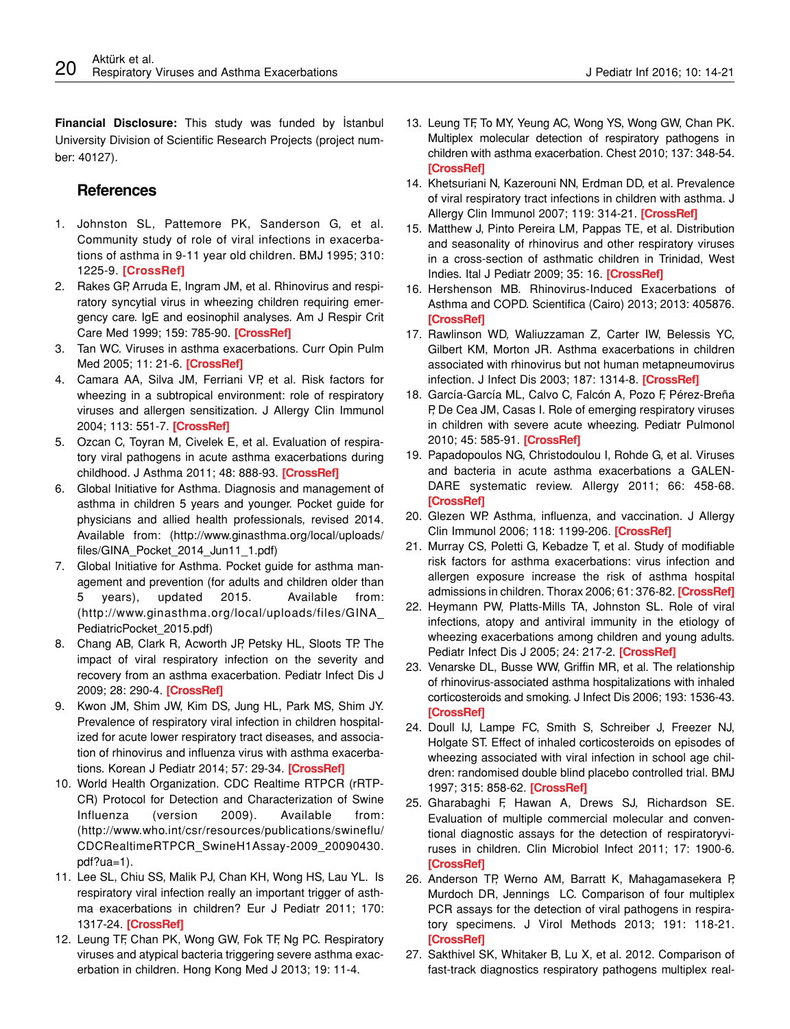**Financial Disclosure:** This study was funded by İstanbul University Division of Scientific Research Projects (project number: 40127).

## **References**

- 1. Johnston SL, Pattemore PK, Sanderson G, et al. Community study of role of viral infections in exacerbations of asthma in 9-11 year old children. BMJ 1995; 310: 1225-9. **[\[CrossRef\]](http://dx.doi.org/10.1136/bmj.310.6989.1225)**
- 2. Rakes GP, Arruda E, Ingram JM, et al. Rhinovirus and respiratory syncytial virus in wheezing children requiring emergency care. IgE and eosinophil analyses. Am J Respir Crit Care Med 1999; 159: 785-90. **[\[CrossRef\]](http://dx.doi.org/10.1164/ajrccm.159.3.9801052)**
- 3. Tan WC. Viruses in asthma exacerbations. Curr Opin Pulm Med 2005; 11: 21-6. **[\[CrossRef\]](http://dx.doi.org/10.1097/01.mcp.0000146781.11092.0d)**
- 4. Camara AA, Silva JM, Ferriani VP, et al. Risk factors for wheezing in a subtropical environment: role of respiratory viruses and allergen sensitization. J Allergy Clin Immunol 2004; 113: 551-7. **[\[CrossRef\]](http://dx.doi.org/10.1016/j.jaci.2003.11.027)**
- 5. Ozcan C, Toyran M, Civelek E, et al. Evaluation of respiratory viral pathogens in acute asthma exacerbations during childhood. J Asthma 2011; 48: 888-93. **[\[CrossRef\]](http://dx.doi.org/10.3109/02770903.2011.606579)**
- 6. Global Initiative for Asthma. Diagnosis and management of asthma in children 5 years and younger. Pocket guide for physicians and allied health professionals, revised 2014. Available from: (http://www.ginasthma.org/local/uploads/ files/GINA\_Pocket\_2014\_Jun11\_1.pdf)
- 7. Global Initiative for Asthma. Pocket guide for asthma management and prevention (for adults and children older than 5 years), updated 2015. Available from: (http://www.ginasthma.org/local/uploads/files/GINA\_ PediatricPocket\_2015.pdf)
- 8. Chang AB, Clark R, Acworth JP, Petsky HL, Sloots TP. The impact of viral respiratory infection on the severity and recovery from an asthma exacerbation. Pediatr Infect Dis J 2009; 28: 290-4. **[\[CrossRef\]](http://dx.doi.org/10.1097/INF.0b013e31819067b1)**
- 9. Kwon JM, Shim JW, Kim DS, Jung HL, Park MS, Shim JY. Prevalence of respiratory viral infection in children hospitalized for acute lower respiratory tract diseases, and association of rhinovirus and influenza virus with asthma exacerbations. Korean J Pediatr 2014; 57: 29-34. **[\[CrossRef\]](http://dx.doi.org/10.3345/kjp.2014.57.1.29)**
- 10. World Health Organization. CDC Realtime RTPCR (rRTP-CR) Protocol for Detection and Characterization of Swine Influenza (version 2009). Available from: (http://www.who.int/csr/resources/publications/swineflu/ CDCRealtimeRTPCR\_SwineH1Assay-2009\_20090430. pdf?ua=1).
- 11. Lee SL, Chiu SS, Malik PJ, Chan KH, Wong HS, Lau YL. Is respiratory viral infection really an important trigger of asthma exacerbations in children? Eur J Pediatr 2011; 170: 1317-24. **[\[CrossRef\]](http://dx.doi.org/10.1007/s00431-011-1446-1)**
- 12. Leung TF, Chan PK, Wong GW, Fok TF, Ng PC. Respiratory viruses and atypical bacteria triggering severe asthma exacerbation in children. Hong Kong Med J 2013; 19: 11-4.
- 13. Leung TF, To MY, Yeung AC, Wong YS, Wong GW, Chan PK. Multiplex molecular detection of respiratory pathogens in children with asthma exacerbation. Chest 2010; 137: 348-54. **[\[CrossRef\]](http://dx.doi.org/10.1378/chest.09-1250)**
- 14. Khetsuriani N, Kazerouni NN, Erdman DD, et al. Prevalence of viral respiratory tract infections in children with asthma. J Allergy Clin Immunol 2007; 119: 314-21. **[\[CrossRef\]](http://dx.doi.org/10.1016/j.jaci.2006.08.041)**
- 15. Matthew J, Pinto Pereira LM, Pappas TE, et al. Distribution and seasonality of rhinovirus and other respiratory viruses in a cross-section of asthmatic children in Trinidad, West Indies. Ital J Pediatr 2009; 35: 16. **[\[CrossRef\]](http://dx.doi.org/10.1186/1824-7288-35-16)**
- 16. Hershenson MB. Rhinovirus-Induced Exacerbations of Asthma and COPD. Scientifica (Cairo) 2013; 2013: 405876. **[\[CrossRef\]](http://dx.doi.org/10.1155/2013/405876)**
- 17. Rawlinson WD, Waliuzzaman Z, Carter IW, Belessis YC, Gilbert KM, Morton JR. Asthma exacerbations in children associated with rhinovirus but not human metapneumovirus infection. J Infect Dis 2003; 187: 1314-8. **[\[CrossRef\]](http://dx.doi.org/10.1086/368411)**
- 18. García-García ML, Calvo C, Falcón A, Pozo F, Pérez-Breña P, De Cea JM, Casas I. Role of emerging respiratory viruses in children with severe acute wheezing. Pediatr Pulmonol 2010; 45: 585-91. **[\[CrossRef\]](http://dx.doi.org/10.1002/ppul.21225)**
- 19. Papadopoulos NG, Christodoulou I, Rohde G, et al. Viruses and bacteria in acute asthma exacerbations a GALEN-DARE systematic review. Allergy 2011; 66: 458-68. **[\[CrossRef\]](http://dx.doi.org/10.1111/j.1398-9995.2010.02505.x)**
- 20. Glezen WP. Asthma, influenza, and vaccination. J Allergy Clin Immunol 2006; 118: 1199-206. **[\[CrossRef\]](http://dx.doi.org/10.1016/j.jaci.2006.08.032)**
- 21. Murray CS, Poletti G, Kebadze T, et al. Study of modifiable risk factors for asthma exacerbations: virus infection and allergen exposure increase the risk of asthma hospital admissions in children. Thorax 2006; 61: 376-82. **[\[CrossRef\]](http://dx.doi.org/10.1136/thx.2005.042523)**
- 22. Heymann PW, Platts-Mills TA, Johnston SL. Role of viral infections, atopy and antiviral immunity in the etiology of wheezing exacerbations among children and young adults. Pediatr Infect Dis J 2005; 24: 217-2. **[\[CrossRef\]](http://dx.doi.org/10.1097/01.inf.0000188164.33856.f9)**
- 23. Venarske DL, Busse WW, Griffin MR, et al. The relationship of rhinovirus-associated asthma hospitalizations with inhaled corticosteroids and smoking. J Infect Dis 2006; 193: 1536-43. **[\[CrossRef\]](http://dx.doi.org/10.1086/503809)**
- 24. Doull IJ, Lampe FC, Smith S, Schreiber J, Freezer NJ, Holgate ST. Effect of inhaled corticosteroids on episodes of wheezing associated with viral infection in school age children: randomised double blind placebo controlled trial. BMJ 1997; 315: 858-62. **[\[CrossRef\]](http://dx.doi.org/10.1136/bmj.315.7112.858)**
- 25. Gharabaghi F, Hawan A, Drews SJ, Richardson SE. Evaluation of multiple commercial molecular and conventional diagnostic assays for the detection of respiratoryviruses in children. Clin Microbiol Infect 2011; 17: 1900-6. **[\[CrossRef\]](http://dx.doi.org/10.1111/j.1469-0691.2011.03529.x)**
- 26. Anderson TP, Werno AM, Barratt K, Mahagamasekera P, Murdoch DR, Jennings LC. Comparison of four multiplex PCR assays for the detection of viral pathogens in respiratory specimens. J Virol Methods 2013; 191: 118-21. **[\[CrossRef\]](http://dx.doi.org/10.1016/j.jviromet.2013.04.005)**
- 27. Sakthivel SK, Whitaker B, Lu X, et al. 2012. Comparison of fast-track diagnostics respiratory pathogens multiplex real-